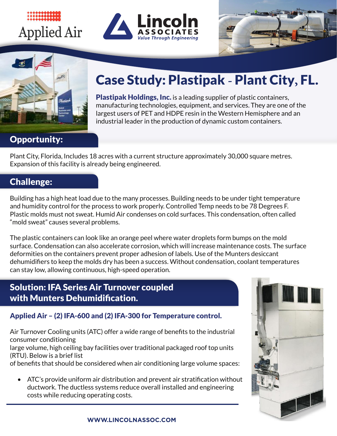# **Applied Air**







# **Case Study: Plastipak - Plant City, FL.**

manufacturing technologies, equipment, and services. They are one of the largest  $\mathcal{L}$ Plastipak Holdings, Inc. is a leading supplier of plastic containers, manufacturing technologies, equipment, and services. They are one of the largest users of PET and HDPE resin in the Western Hemisphere and an industrial leader in the production of dynamic custom containers.

### Opportunity:

**Opportunity:** Expansion of this facility is already being engineered. Plant City, Florida, Includes 18 acres with a current structure approximately 30,000 square metres.

#### Plant City, Florida, Includes 18 acres with a current structure approximately 30,000 square metres. expansion of this facility is already being engineered. Challenge:

and humidity control for the process to work properly. Controlled Temp needs to be 78 Degrees F.<br>Plastic molds must not sweat. Humid Air condenses on sold surfaces. This condensation, often sall "mold sweat" causes several problems.  $\blacksquare$ Building has a high heat load due to the many processes. Building needs to be under tight temperature Plastic molds must not sweat. Humid Air condenses on cold surfaces. This condensation, often called

and humidity control for the process to work properly. Controlled Temp needs to be 78 Degrees F. surface. Condensation can also accelerate corrosion, which will increase maintenance costs. The surface deformities on the containers prevent proper adhesion of labels. Use of the Munters desiccant dehumidifiers to keep the molds dry has been a success. Without condensation, coolant temperatures denamiques to keep the molds ary has been a success. Without condensation, coolant temperatures<br>can stay low, allowing continuous, high-speed operation. The plastic containers can look like an orange peel where water droplets form bumps on the mold

#### deformities on the containers prevent proper adhesion of labels. Use of the Munters desiccant dehumidion: IFA Series Air Turnover coupled and and the plant the plant temperatures of the plant temperature with Munters Dehumidification.  $\overline{\phantom{a}}$  and extending maintenance costs and extending maintenance costs and the life cycle as much as ten years over RTU's. The indoor units are

## **Solution: IFA Series Air Turnover coupled with Munters Dehumidification.** Applied Air – (2) IFA-600 and (2) IFA-300 for Temperature control. visible to maintenance personnel leading to regular filter changes and

**Applied Air – (2) IFA-600 and (2) IFA-300 for Temperature control.** Air Turnover Cooling units (ATC) offer a wide range of benefits to the industrial Air Turnover Conditioning units (ATC) of benefits to the industrial consumer conditioning of benefits to the industrial consumer consumer consumer consumer consumer consumer consumer consumer consumer consumer consumer con consumer conditioning

consumer conditioning<br>large volume, high ceiling bay facilities over traditional packaged roof top units of below is a brief list.<br>That should be conditioned when a space volume spaces: a space of the spaces: a space of the spaces: a space o (RTU). Below is a brief list ge volume, ingit coming buy rucinties even truumional puchaged roof top units.<br>[U] Below is a brief list

of benefits that should be considered when air conditioning large volume spaces:

 $\bullet$  ATC's provide uniform air distribution and prevent air stratification without  $\begin{array}{ccc} \bullet & \bullet \end{array}$ ductwork. The ductless systems reduce overall installed and engineering costs while reducing operating costs. flexible design of the space set point conditions.